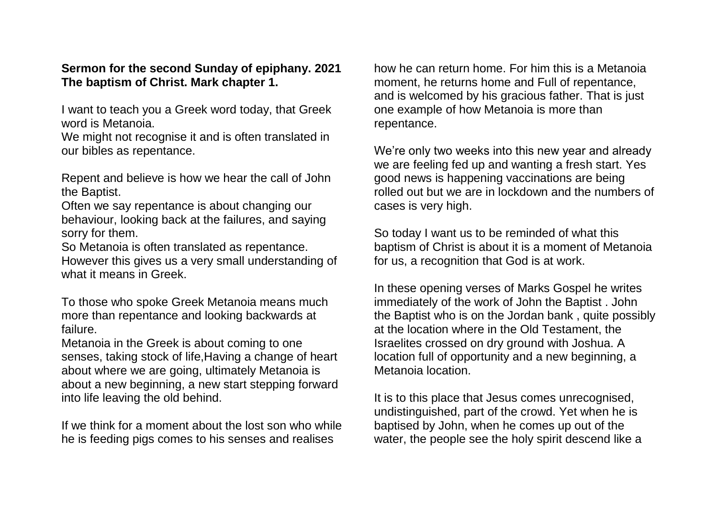## **Sermon for the second Sunday of epiphany. 2021 The baptism of Christ. Mark chapter 1.**

I want to teach you a Greek word today, that Greek word is Metanoia.

We might not recognise it and is often translated in our bibles as repentance.

Repent and believe is how we hear the call of John the Baptist.

Often we say repentance is about changing our behaviour, looking back at the failures, and saying sorry for them.

So Metanoia is often translated as repentance. However this gives us a very small understanding of what it means in Greek.

To those who spoke Greek Metanoia means much more than repentance and looking backwards at failure.

Metanoia in the Greek is about coming to one senses, taking stock of life,Having a change of heart about where we are going, ultimately Metanoia is about a new beginning, a new start stepping forward into life leaving the old behind.

If we think for a moment about the lost son who while he is feeding pigs comes to his senses and realises

how he can return home. For him this is a Metanoia moment, he returns home and Full of repentance, and is welcomed by his gracious father. That is just one example of how Metanoia is more than repentance.

We're only two weeks into this new year and already we are feeling fed up and wanting a fresh start. Yes good news is happening vaccinations are being rolled out but we are in lockdown and the numbers of cases is very high.

So today I want us to be reminded of what this baptism of Christ is about it is a moment of Metanoia for us, a recognition that God is at work.

In these opening verses of Marks Gospel he writes immediately of the work of John the Baptist . John the Baptist who is on the Jordan bank , quite possibly at the location where in the Old Testament, the Israelites crossed on dry ground with Joshua. A location full of opportunity and a new beginning, a Metanoia location.

It is to this place that Jesus comes unrecognised, undistinguished, part of the crowd. Yet when he is baptised by John, when he comes up out of the water, the people see the holy spirit descend like a